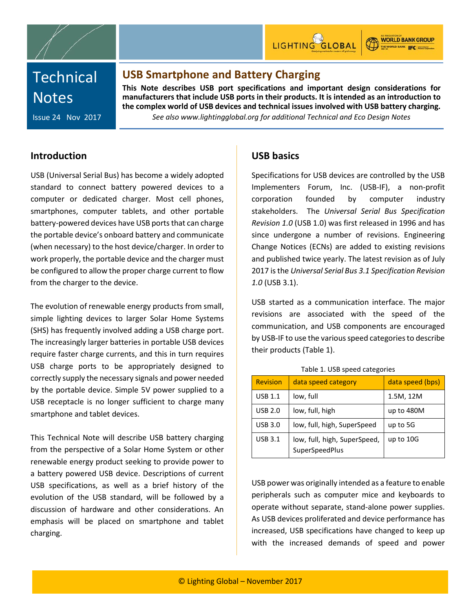



**WORLD BANK GROUP** THE WORLD BANK IFC

# **Technical Notes**

### **USB Smartphone and Battery Charging**

**This Note describes USB port specifications and important design considerations for manufacturers that include USB ports in their products. It is intended as an introduction to the complex world of USB devices and technical issues involved with USB battery charging.**

*See also www.lightingglobal.org for additional Technical and Eco Design Notes*

Issue 24 Nov 2017

### **Introduction**

USB (Universal Serial Bus) has become a widely adopted standard to connect battery powered devices to a computer or dedicated charger. Most cell phones, smartphones, computer tablets, and other portable battery-powered devices have USB ports that can charge the portable device's onboard battery and communicate (when necessary) to the host device/charger. In order to work properly, the portable device and the charger must be configured to allow the proper charge current to flow from the charger to the device.

The evolution of renewable energy products from small, simple lighting devices to larger Solar Home Systems (SHS) has frequently involved adding a USB charge port. The increasingly larger batteries in portable USB devices require faster charge currents, and this in turn requires USB charge ports to be appropriately designed to correctly supply the necessary signals and power needed by the portable device. Simple 5V power supplied to a USB receptacle is no longer sufficient to charge many smartphone and tablet devices.

This Technical Note will describe USB battery charging from the perspective of a Solar Home System or other renewable energy product seeking to provide power to a battery powered USB device. Descriptions of current USB specifications, as well as a brief history of the evolution of the USB standard, will be followed by a discussion of hardware and other considerations. An emphasis will be placed on smartphone and tablet charging.

### **USB basics**

Specifications for USB devices are controlled by the USB Implementers Forum, Inc. (USB-IF), a non-profit corporation founded by computer industry stakeholders. The *Universal Serial Bus Specification Revision 1.0* (USB 1.0) was first released in 1996 and has since undergone a number of revisions. Engineering Change Notices (ECNs) are added to existing revisions and published twice yearly. The latest revision as of July 2017 is the *Universal Serial Bus 3.1 Specification Revision 1.0* (USB 3.1).

USB started as a communication interface. The major revisions are associated with the speed of the communication, and USB components are encouraged by USB-IF to use the various speed categories to describe their products (Table 1).

| <b>Revision</b> | data speed category                            | data speed (bps) |
|-----------------|------------------------------------------------|------------------|
| <b>USB 1.1</b>  | low, full                                      | 1.5M, 12M        |
| <b>USB 2.0</b>  | low, full, high                                | up to 480M       |
| <b>USB 3.0</b>  | low, full, high, SuperSpeed                    | up to 5G         |
| <b>USB 3.1</b>  | low, full, high, SuperSpeed,<br>SuperSpeedPlus | up to 10G        |

#### Table 1. USB speed categories

USB power was originally intended as a feature to enable peripherals such as computer mice and keyboards to operate without separate, stand-alone power supplies. As USB devices proliferated and device performance has increased, USB specifications have changed to keep up with the increased demands of speed and power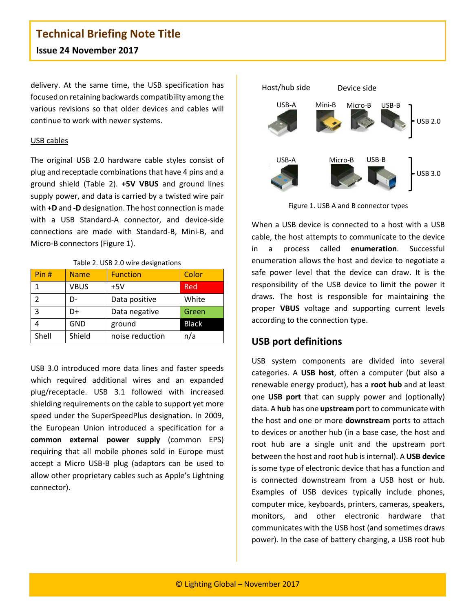delivery. At the same time, the USB specification has focused on retaining backwards compatibility among the various revisions so that older devices and cables will continue to work with newer systems.

#### USB cables

The original USB 2.0 hardware cable styles consist of plug and receptacle combinations that have 4 pins and a ground shield (Table 2). **+5V VBUS** and ground lines supply power, and data is carried by a twisted wire pair with **+D** and **-D** designation. The host connection is made with a USB Standard-A connector, and device-side connections are made with Standard-B, Mini-B, and Micro-B connectors (Figure 1).

#### Table 2. USB 2.0 wire designations

| Pin#  | <b>Name</b> | <b>Function</b> | Color        |
|-------|-------------|-----------------|--------------|
|       | <b>VBUS</b> | $+5V$           | <b>Red</b>   |
|       | D-          | Data positive   | White        |
| 3     | D+          | Data negative   | Green        |
|       | <b>GND</b>  | ground          | <b>Black</b> |
| Shell | Shield      | noise reduction | n/a          |

USB 3.0 introduced more data lines and faster speeds which required additional wires and an expanded plug/receptacle. USB 3.1 followed with increased shielding requirements on the cable to support yet more speed under the SuperSpeedPlus designation. In 2009, the European Union introduced a specification for a **common external power supply** (common EPS) requiring that all mobile phones sold in Europe must accept a Micro USB-B plug (adaptors can be used to allow other proprietary cables such as Apple's Lightning connector).



Figure 1. USB A and B connector types

When a USB device is connected to a host with a USB cable, the host attempts to communicate to the device in a process called **enumeration**. Successful enumeration allows the host and device to negotiate a safe power level that the device can draw. It is the responsibility of the USB device to limit the power it draws. The host is responsible for maintaining the proper **VBUS** voltage and supporting current levels according to the connection type.

#### **USB port definitions**

USB system components are divided into several categories. A **USB host**, often a computer (but also a renewable energy product), has a **root hub** and at least one **USB port** that can supply power and (optionally) data. A **hub** has one **upstream** port to communicate with the host and one or more **downstream** ports to attach to devices or another hub (in a base case, the host and root hub are a single unit and the upstream port between the host and root hub is internal). A **USB device** is some type of electronic device that has a function and is connected downstream from a USB host or hub. Examples of USB devices typically include phones, computer mice, keyboards, printers, cameras, speakers, monitors, and other electronic hardware that communicates with the USB host (and sometimes draws power). In the case of battery charging, a USB root hub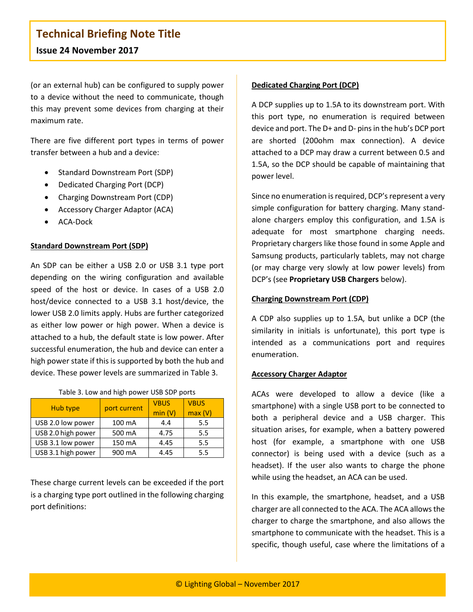(or an external hub) can be configured to supply power to a device without the need to communicate, though this may prevent some devices from charging at their maximum rate.

There are five different port types in terms of power transfer between a hub and a device:

- Standard Downstream Port (SDP)
- Dedicated Charging Port (DCP)
- Charging Downstream Port (CDP)
- Accessory Charger Adaptor (ACA)
- ACA-Dock

#### **Standard Downstream Port (SDP)**

An SDP can be either a USB 2.0 or USB 3.1 type port depending on the wiring configuration and available speed of the host or device. In cases of a USB 2.0 host/device connected to a USB 3.1 host/device, the lower USB 2.0 limits apply. Hubs are further categorized as either low power or high power. When a device is attached to a hub, the default state is low power. After successful enumeration, the hub and device can enter a high power state if this is supported by both the hub and device. These power levels are summarized in Table 3.

| Table 3. Low and high power USB SDP ports |  |
|-------------------------------------------|--|
|                                           |  |

|                    | port current | <b>VBUS</b> | <b>VBUS</b> |
|--------------------|--------------|-------------|-------------|
| Hub type           |              | min(V)      | max(V)      |
| USB 2.0 low power  | 100 mA       | 4.4         | 5.5         |
| USB 2.0 high power | 500 mA       | 4.75        | 5.5         |
| USB 3.1 low power  | 150 mA       | 4.45        | 5.5         |
| USB 3.1 high power | 900 mA       | 4.45        | 5.5         |

These charge current levels can be exceeded if the port is a charging type port outlined in the following charging port definitions:

#### **Dedicated Charging Port (DCP)**

A DCP supplies up to 1.5A to its downstream port. With this port type, no enumeration is required between device and port. The D+ and D- pins in the hub's DCP port are shorted (200ohm max connection). A device attached to a DCP may draw a current between 0.5 and 1.5A, so the DCP should be capable of maintaining that power level.

Since no enumeration is required, DCP's represent a very simple configuration for battery charging. Many standalone chargers employ this configuration, and 1.5A is adequate for most smartphone charging needs. Proprietary chargers like those found in some Apple and Samsung products, particularly tablets, may not charge (or may charge very slowly at low power levels) from DCP's (see **Proprietary USB Chargers** below).

#### **Charging Downstream Port (CDP)**

A CDP also supplies up to 1.5A, but unlike a DCP (the similarity in initials is unfortunate), this port type is intended as a communications port and requires enumeration.

#### **Accessory Charger Adaptor**

ACAs were developed to allow a device (like a smartphone) with a single USB port to be connected to both a peripheral device and a USB charger. This situation arises, for example, when a battery powered host (for example, a smartphone with one USB connector) is being used with a device (such as a headset). If the user also wants to charge the phone while using the headset, an ACA can be used.

In this example, the smartphone, headset, and a USB charger are all connected to the ACA. The ACA allows the charger to charge the smartphone, and also allows the smartphone to communicate with the headset. This is a specific, though useful, case where the limitations of a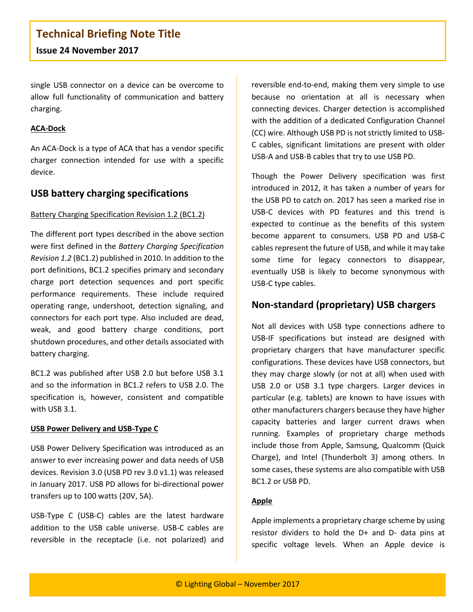single USB connector on a device can be overcome to allow full functionality of communication and battery charging.

#### **ACA-Dock**

An ACA-Dock is a type of ACA that has a vendor specific charger connection intended for use with a specific device.

#### **USB battery charging specifications**

#### Battery Charging Specification Revision 1.2 (BC1.2)

The different port types described in the above section were first defined in the *Battery Charging Specification Revision 1.2* (BC1.2) published in 2010. In addition to the port definitions, BC1.2 specifies primary and secondary charge port detection sequences and port specific performance requirements. These include required operating range, undershoot, detection signaling, and connectors for each port type. Also included are dead, weak, and good battery charge conditions, port shutdown procedures, and other details associated with battery charging.

BC1.2 was published after USB 2.0 but before USB 3.1 and so the information in BC1.2 refers to USB 2.0. The specification is, however, consistent and compatible with USB 3.1.

#### **USB Power Delivery and USB-Type C**

USB Power Delivery Specification was introduced as an answer to ever increasing power and data needs of USB devices. Revision 3.0 (USB PD rev 3.0 v1.1) was released in January 2017. USB PD allows for bi-directional power transfers up to 100 watts (20V, 5A).

USB-Type C (USB-C) cables are the latest hardware addition to the USB cable universe. USB-C cables are reversible in the receptacle (i.e. not polarized) and

reversible end-to-end, making them very simple to use because no orientation at all is necessary when connecting devices. Charger detection is accomplished with the addition of a dedicated Configuration Channel (CC) wire. Although USB PD is not strictly limited to USB-C cables, significant limitations are present with older USB-A and USB-B cables that try to use USB PD.

Though the Power Delivery specification was first introduced in 2012, it has taken a number of years for the USB PD to catch on. 2017 has seen a marked rise in USB-C devices with PD features and this trend is expected to continue as the benefits of this system become apparent to consumers. USB PD and USB-C cables represent the future of USB, and while it may take some time for legacy connectors to disappear, eventually USB is likely to become synonymous with USB-C type cables.

#### **Non-standard (proprietary) USB chargers**

Not all devices with USB type connections adhere to USB-IF specifications but instead are designed with proprietary chargers that have manufacturer specific configurations. These devices have USB connectors, but they may charge slowly (or not at all) when used with USB 2.0 or USB 3.1 type chargers. Larger devices in particular (e.g. tablets) are known to have issues with other manufacturers chargers because they have higher capacity batteries and larger current draws when running. Examples of proprietary charge methods include those from Apple, Samsung, Qualcomm (Quick Charge), and Intel (Thunderbolt 3) among others. In some cases, these systems are also compatible with USB BC1.2 or USB PD.

#### **Apple**

Apple implements a proprietary charge scheme by using resistor dividers to hold the D+ and D- data pins at specific voltage levels. When an Apple device is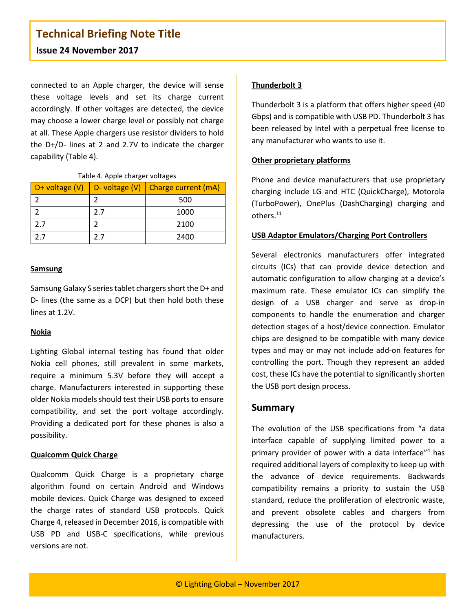# **Technical Briefing Note Title**

#### **Issue 24 November 2017**

connected to an Apple charger, the device will sense these voltage levels and set its charge current accordingly. If other voltages are detected, the device may choose a lower charge level or possibly not charge at all. These Apple chargers use resistor dividers to hold the D+/D- lines at 2 and 2.7V to indicate the charger capability (Table 4).

Table 4. Apple charger voltages

|     |     | D+ voltage $(V)$ D- voltage $(V)$ Charge current $(mA)$ |
|-----|-----|---------------------------------------------------------|
|     |     | 500                                                     |
|     | 2.7 | 1000                                                    |
| 2.7 |     | 2100                                                    |
| 2 7 | 2 7 | 2400                                                    |

#### **Samsung**

Samsung Galaxy S series tablet chargers short the D+ and D- lines (the same as a DCP) but then hold both these lines at 1.2V.

#### **Nokia**

Lighting Global internal testing has found that older Nokia cell phones, still prevalent in some markets, require a minimum 5.3V before they will accept a charge. Manufacturers interested in supporting these older Nokia models should test their USB ports to ensure compatibility, and set the port voltage accordingly. Providing a dedicated port for these phones is also a possibility.

#### **Qualcomm Quick Charge**

Qualcomm Quick Charge is a proprietary charge algorithm found on certain Android and Windows mobile devices. Quick Charge was designed to exceed the charge rates of standard USB protocols. Quick Charge 4, released in December 2016, is compatible with USB PD and USB-C specifications, while previous versions are not.

#### **Thunderbolt 3**

Thunderbolt 3 is a platform that offers higher speed (40 Gbps) and is compatible with USB PD. Thunderbolt 3 has been released by Intel with a perpetual free license to any manufacturer who wants to use it.

#### **Other proprietary platforms**

Phone and device manufacturers that use proprietary charging include LG and HTC (QuickCharge), Motorola (TurboPower), OnePlus (DashCharging) charging and others.<sup>11</sup>

#### **USB Adaptor Emulators/Charging Port Controllers**

Several electronics manufacturers offer integrated circuits (ICs) that can provide device detection and automatic configuration to allow charging at a device's maximum rate. These emulator ICs can simplify the design of a USB charger and serve as drop-in components to handle the enumeration and charger detection stages of a host/device connection. Emulator chips are designed to be compatible with many device types and may or may not include add-on features for controlling the port. Though they represent an added cost, these ICs have the potential to significantly shorten the USB port design process.

#### **Summary**

The evolution of the USB specifications from "a data interface capable of supplying limited power to a primary provider of power with a data interface"4 has required additional layers of complexity to keep up with the advance of device requirements. Backwards compatibility remains a priority to sustain the USB standard, reduce the proliferation of electronic waste, and prevent obsolete cables and chargers from depressing the use of the protocol by device manufacturers.